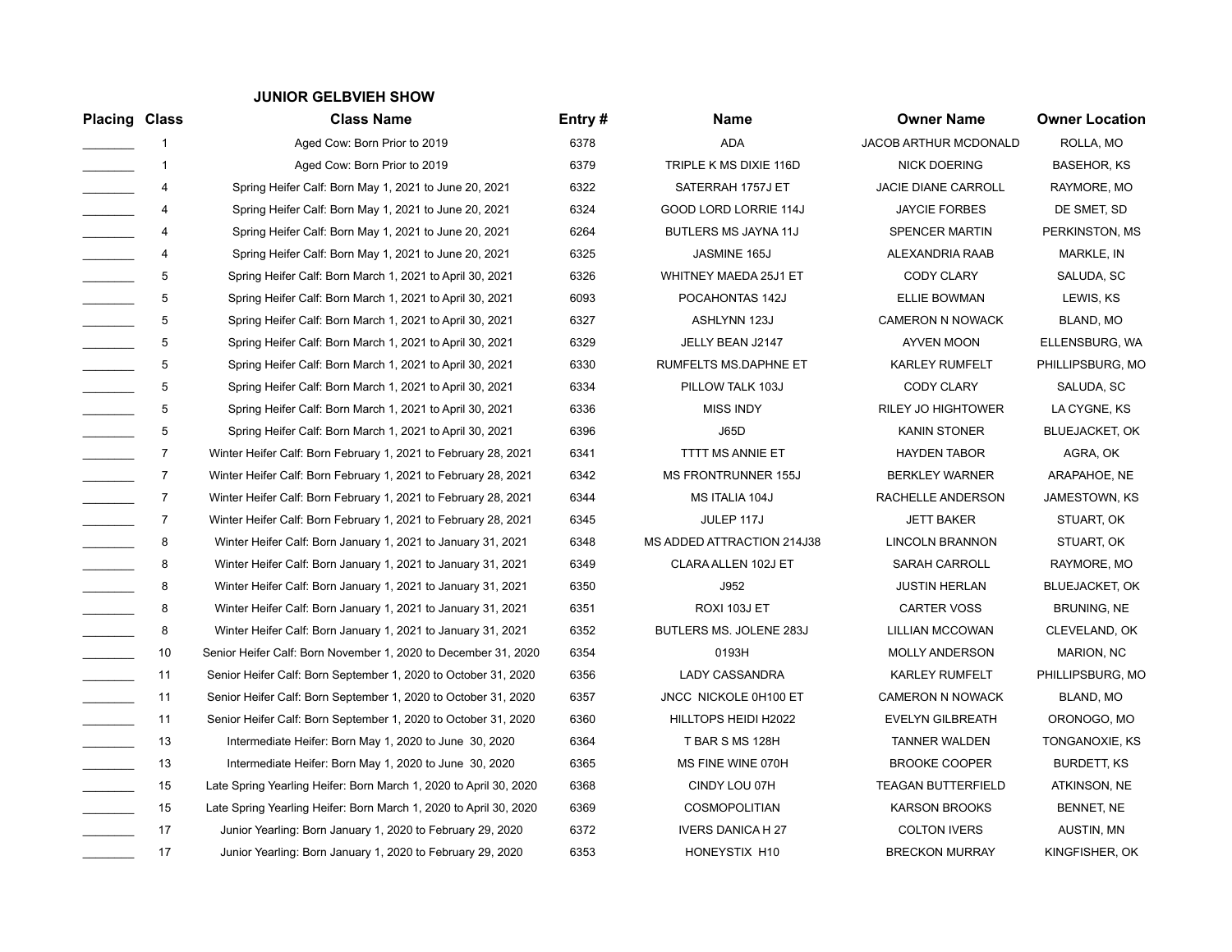## **JUNIOR GELBVIEH SHOW**

| <b>Placing Class</b>                    |                  | <b>Class Name</b>                                                 | Entry# | Name                         | <b>Owner Name</b>          | <b>Owner Location</b> |
|-----------------------------------------|------------------|-------------------------------------------------------------------|--------|------------------------------|----------------------------|-----------------------|
|                                         | 1                | Aged Cow: Born Prior to 2019                                      | 6378   | <b>ADA</b>                   | JACOB ARTHUR MCDONALD      | ROLLA, MO             |
|                                         | $\mathbf{1}$     | Aged Cow: Born Prior to 2019                                      | 6379   | TRIPLE K MS DIXIE 116D       | <b>NICK DOERING</b>        | <b>BASEHOR, KS</b>    |
| $\mathcal{L}^{\text{max}}_{\text{max}}$ | 4                | Spring Heifer Calf: Born May 1, 2021 to June 20, 2021             | 6322   | SATERRAH 1757J ET            | <b>JACIE DIANE CARROLL</b> | RAYMORE, MO           |
|                                         | 4                | Spring Heifer Calf: Born May 1, 2021 to June 20, 2021             | 6324   | <b>GOOD LORD LORRIE 114J</b> | <b>JAYCIE FORBES</b>       | DE SMET, SD           |
|                                         | 4                | Spring Heifer Calf: Born May 1, 2021 to June 20, 2021             | 6264   | BUTLERS MS JAYNA 11J         | <b>SPENCER MARTIN</b>      | PERKINSTON, MS        |
|                                         | 4                | Spring Heifer Calf: Born May 1, 2021 to June 20, 2021             | 6325   | JASMINE 165J                 | ALEXANDRIA RAAB            | MARKLE, IN            |
|                                         | 5                | Spring Heifer Calf: Born March 1, 2021 to April 30, 2021          | 6326   | WHITNEY MAEDA 25J1 ET        | CODY CLARY                 | SALUDA, SC            |
|                                         | 5                | Spring Heifer Calf: Born March 1, 2021 to April 30, 2021          | 6093   | POCAHONTAS 142J              | <b>ELLIE BOWMAN</b>        | LEWIS, KS             |
|                                         | 5                | Spring Heifer Calf: Born March 1, 2021 to April 30, 2021          | 6327   | ASHLYNN 123J                 | <b>CAMERON N NOWACK</b>    | BLAND, MO             |
|                                         | 5                | Spring Heifer Calf: Born March 1, 2021 to April 30, 2021          | 6329   | JELLY BEAN J2147             | AYVEN MOON                 | ELLENSBURG, WA        |
| $\overline{\phantom{a}}$                | 5                | Spring Heifer Calf: Born March 1, 2021 to April 30, 2021          | 6330   | RUMFELTS MS.DAPHNE ET        | <b>KARLEY RUMFELT</b>      | PHILLIPSBURG, MO      |
|                                         | 5                | Spring Heifer Calf: Born March 1, 2021 to April 30, 2021          | 6334   | PILLOW TALK 103J             | <b>CODY CLARY</b>          | SALUDA, SC            |
|                                         | 5                | Spring Heifer Calf: Born March 1, 2021 to April 30, 2021          | 6336   | <b>MISS INDY</b>             | <b>RILEY JO HIGHTOWER</b>  | LA CYGNE, KS          |
|                                         | 5                | Spring Heifer Calf: Born March 1, 2021 to April 30, 2021          | 6396   | <b>J65D</b>                  | <b>KANIN STONER</b>        | <b>BLUEJACKET, OK</b> |
| $\overline{\phantom{a}}$                | $\overline{7}$   | Winter Heifer Calf: Born February 1, 2021 to February 28, 2021    | 6341   | TTTT MS ANNIE ET             | <b>HAYDEN TABOR</b>        | AGRA, OK              |
|                                         | $\boldsymbol{7}$ | Winter Heifer Calf: Born February 1, 2021 to February 28, 2021    | 6342   | MS FRONTRUNNER 155J          | <b>BERKLEY WARNER</b>      | ARAPAHOE, NE          |
|                                         | $\overline{7}$   | Winter Heifer Calf: Born February 1, 2021 to February 28, 2021    | 6344   | MS ITALIA 104J               | RACHELLE ANDERSON          | <b>JAMESTOWN, KS</b>  |
| $\mathcal{L}^{\text{max}}_{\text{max}}$ | $\overline{7}$   | Winter Heifer Calf: Born February 1, 2021 to February 28, 2021    | 6345   | JULEP 117J                   | <b>JETT BAKER</b>          | STUART, OK            |
| $\overline{\phantom{a}}$                | 8                | Winter Heifer Calf: Born January 1, 2021 to January 31, 2021      | 6348   | MS ADDED ATTRACTION 214J38   | <b>LINCOLN BRANNON</b>     | STUART, OK            |
|                                         | 8                | Winter Heifer Calf: Born January 1, 2021 to January 31, 2021      | 6349   | CLARA ALLEN 102J ET          | <b>SARAH CARROLL</b>       | RAYMORE, MO           |
|                                         | 8                | Winter Heifer Calf: Born January 1, 2021 to January 31, 2021      | 6350   | J952                         | <b>JUSTIN HERLAN</b>       | <b>BLUEJACKET, OK</b> |
|                                         | 8                | Winter Heifer Calf: Born January 1, 2021 to January 31, 2021      | 6351   | ROXI 103J ET                 | <b>CARTER VOSS</b>         | BRUNING, NE           |
|                                         | 8                | Winter Heifer Calf: Born January 1, 2021 to January 31, 2021      | 6352   | BUTLERS MS. JOLENE 283J      | <b>LILLIAN MCCOWAN</b>     | CLEVELAND, OK         |
|                                         | 10               | Senior Heifer Calf: Born November 1, 2020 to December 31, 2020    | 6354   | 0193H                        | MOLLY ANDERSON             | MARION, NC            |
|                                         | 11               | Senior Heifer Calf: Born September 1, 2020 to October 31, 2020    | 6356   | <b>LADY CASSANDRA</b>        | <b>KARLEY RUMFELT</b>      | PHILLIPSBURG, MO      |
| $\overline{\phantom{a}}$                | 11               | Senior Heifer Calf: Born September 1, 2020 to October 31, 2020    | 6357   | JNCC NICKOLE 0H100 ET        | <b>CAMERON N NOWACK</b>    | BLAND, MO             |
|                                         | 11               | Senior Heifer Calf: Born September 1, 2020 to October 31, 2020    | 6360   | HILLTOPS HEIDI H2022         | <b>EVELYN GILBREATH</b>    | ORONOGO, MO           |
|                                         | 13               | Intermediate Heifer: Born May 1, 2020 to June 30, 2020            | 6364   | T BAR S MS 128H              | <b>TANNER WALDEN</b>       | TONGANOXIE, KS        |
|                                         | 13               | Intermediate Heifer: Born May 1, 2020 to June 30, 2020            | 6365   | MS FINE WINE 070H            | <b>BROOKE COOPER</b>       | <b>BURDETT, KS</b>    |
|                                         | 15               | Late Spring Yearling Heifer: Born March 1, 2020 to April 30, 2020 | 6368   | CINDY LOU 07H                | <b>TEAGAN BUTTERFIELD</b>  | ATKINSON, NE          |
|                                         | 15               | Late Spring Yearling Heifer: Born March 1, 2020 to April 30, 2020 | 6369   | COSMOPOLITIAN                | <b>KARSON BROOKS</b>       | BENNET, NE            |
|                                         | 17               | Junior Yearling: Born January 1, 2020 to February 29, 2020        | 6372   | <b>IVERS DANICA H 27</b>     | <b>COLTON IVERS</b>        | AUSTIN, MN            |
|                                         | 17               | Junior Yearling: Born January 1, 2020 to February 29, 2020        | 6353   | HONEYSTIX H10                | <b>BRECKON MURRAY</b>      | KINGFISHER, OK        |